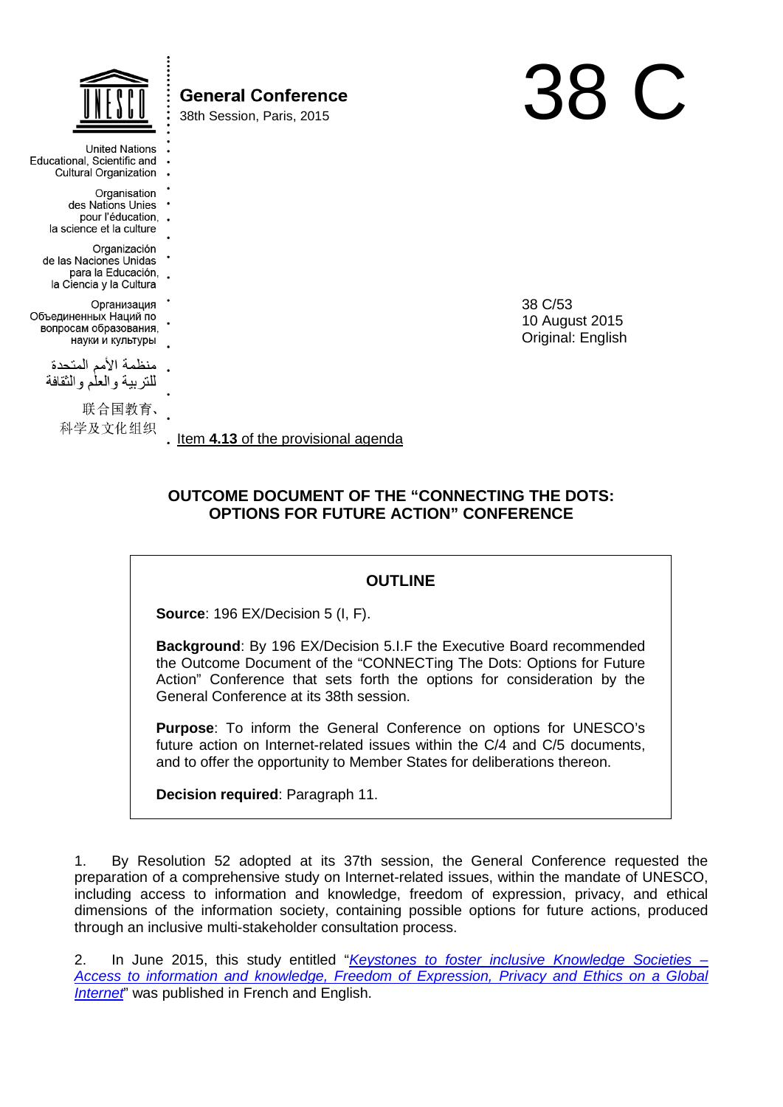|                                                                                           | <b>General Conference</b><br>38th Session, Paris, 2015 |                                                |  |
|-------------------------------------------------------------------------------------------|--------------------------------------------------------|------------------------------------------------|--|
| <b>United Nations</b><br>Educational, Scientific and<br><b>Cultural Organization</b>      |                                                        |                                                |  |
| Organisation<br>des Nations Unies<br>pour l'éducation, .<br>la science et la culture      |                                                        |                                                |  |
| Organización<br>de las Naciones Unidas<br>para la Educación, .<br>la Ciencia y la Cultura |                                                        |                                                |  |
| Организация<br>Объединенных Наций по<br>вопросам образования,<br>науки и культуры         |                                                        | 38 C/53<br>10 August 2015<br>Original: English |  |
| منظمة الأمم المتحدة<br>للنربية والعلم والنقافة                                            |                                                        |                                                |  |
| 联合国教育、<br>科学及文化组织                                                                         | Item 4.13 of the provisional agenda                    |                                                |  |

# **OUTCOME DOCUMENT OF THE "CONNECTING THE DOTS: OPTIONS FOR FUTURE ACTION" CONFERENCE**

# **OUTLINE**

**Source**: 196 EX/Decision 5 (I, F).

**Background**: By 196 EX/Decision 5.I.F the Executive Board recommended the Outcome Document of the "CONNECTing The Dots: Options for Future Action" Conference that sets forth the options for consideration by the General Conference at its 38th session.

**Purpose**: To inform the General Conference on options for UNESCO's future action on Internet-related issues within the C/4 and C/5 documents, and to offer the opportunity to Member States for deliberations thereon.

**Decision required**: Paragraph 11.

1. By Resolution 52 adopted at its 37th session, the General Conference requested the preparation of a comprehensive study on Internet-related issues, within the mandate of UNESCO, including access to information and knowledge, freedom of expression, privacy, and ethical dimensions of the information society, containing possible options for future actions, produced through an inclusive multi-stakeholder consultation process.

2. In June 2015, this study entitled "*[Keystones to foster inclusive Knowledge Societies –](http://unesdoc.unesco.org/images/0023/002325/232563E.pdf) [Access to information and knowledge, Freedom of Expression, Privacy and Ethics on a Global](http://unesdoc.unesco.org/images/0023/002325/232563E.pdf)  [Internet](http://unesdoc.unesco.org/images/0023/002325/232563E.pdf)*" was published in French and English.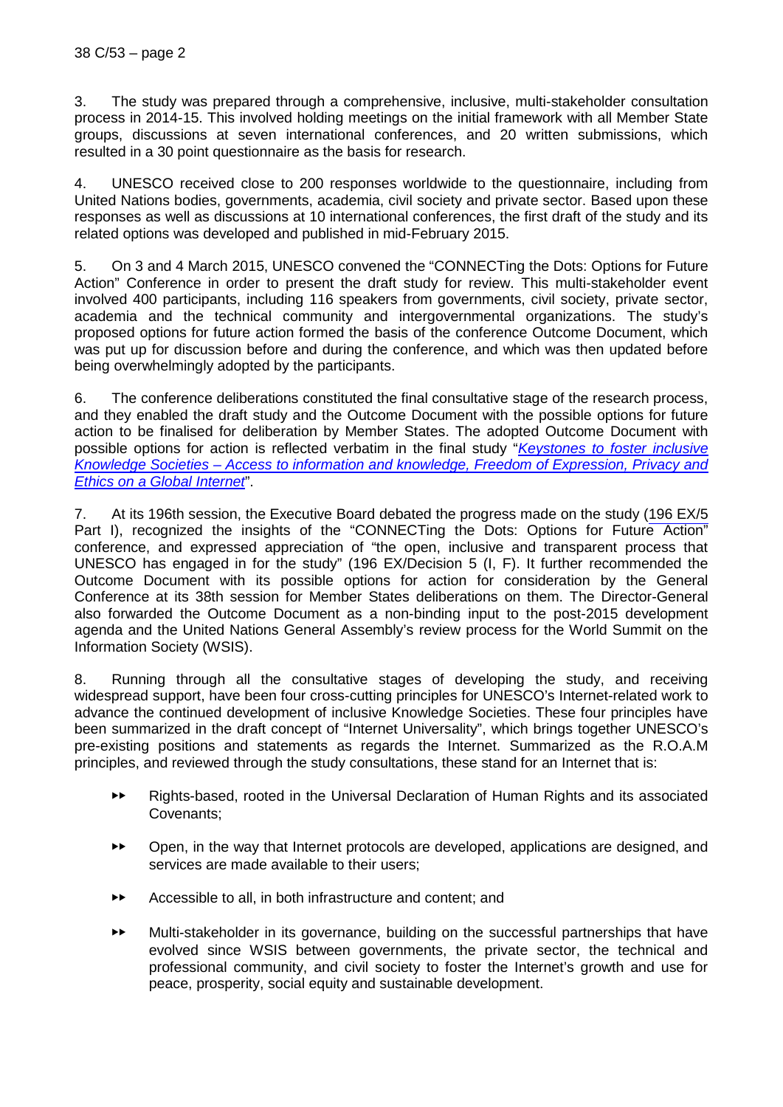3. The study was prepared through a comprehensive, inclusive, multi-stakeholder consultation process in 2014-15. This involved holding meetings on the initial framework with all Member State groups, discussions at seven international conferences, and 20 written submissions, which resulted in a 30 point questionnaire as the basis for research.

4. UNESCO received close to 200 responses worldwide to the questionnaire, including from United Nations bodies, governments, academia, civil society and private sector. Based upon these responses as well as discussions at 10 international conferences, the first draft of the study and its related options was developed and published in mid-February 2015.

5. On 3 and 4 March 2015, UNESCO convened the "CONNECTing the Dots: Options for Future Action" Conference in order to present the draft study for review. This multi-stakeholder event involved 400 participants, including 116 speakers from governments, civil society, private sector, academia and the technical community and intergovernmental organizations. The study's proposed options for future action formed the basis of the conference Outcome Document, which was put up for discussion before and during the conference, and which was then updated before being overwhelmingly adopted by the participants.

6. The conference deliberations constituted the final consultative stage of the research process, and they enabled the draft study and the Outcome Document with the possible options for future action to be finalised for deliberation by Member States. The adopted Outcome Document with possible options for action is reflected verbatim in the final study "*[Keystones to foster inclusive](http://unesdoc.unesco.org/images/0023/002325/232563E.pdf)  Knowledge Societies – Access [to information and knowledge, Freedom of Expression, Privacy and](http://unesdoc.unesco.org/images/0023/002325/232563E.pdf)  [Ethics on a Global Internet](http://unesdoc.unesco.org/images/0023/002325/232563E.pdf)*".

7. At its 196th session, the Executive Board debated the progress made on the study (196 EX/5 Part I), recognized the insights of the "CONNECTing the Dots: Options for Future Action" conference, and expressed appreciation of "the open, inclusive and transparent process that UNESCO has engaged in for the study" (196 EX/Decision 5 (I, F). It further recommended the Outcome Document with its possible options for action for consideration by the General Conference at its 38th session for Member States deliberations on them. The Director-General also forwarded the Outcome Document as a non-binding input to the post-2015 development agenda and the United Nations General Assembly's review process for the World Summit on the Information Society (WSIS).

8. Running through all the consultative stages of developing the study, and receiving widespread support, have been four cross-cutting principles for UNESCO's Internet-related work to advance the continued development of inclusive Knowledge Societies. These four principles have been summarized in the draft concept of "Internet Universality", which brings together UNESCO's pre-existing positions and statements as regards the Internet. Summarized as the R.O.A.M principles, and reviewed through the study consultations, these stand for an Internet that is:

- ▶▶ Rights-based, rooted in the Universal Declaration of Human Rights and its associated Covenants;
- ▶▶ Open, in the way that Internet protocols are developed, applications are designed, and services are made available to their users;
- ▶▶ Accessible to all, in both infrastructure and content; and
- ▶▶ Multi-stakeholder in its governance, building on the successful partnerships that have evolved since WSIS between governments, the private sector, the technical and professional community, and civil society to foster the Internet's growth and use for peace, prosperity, social equity and sustainable development.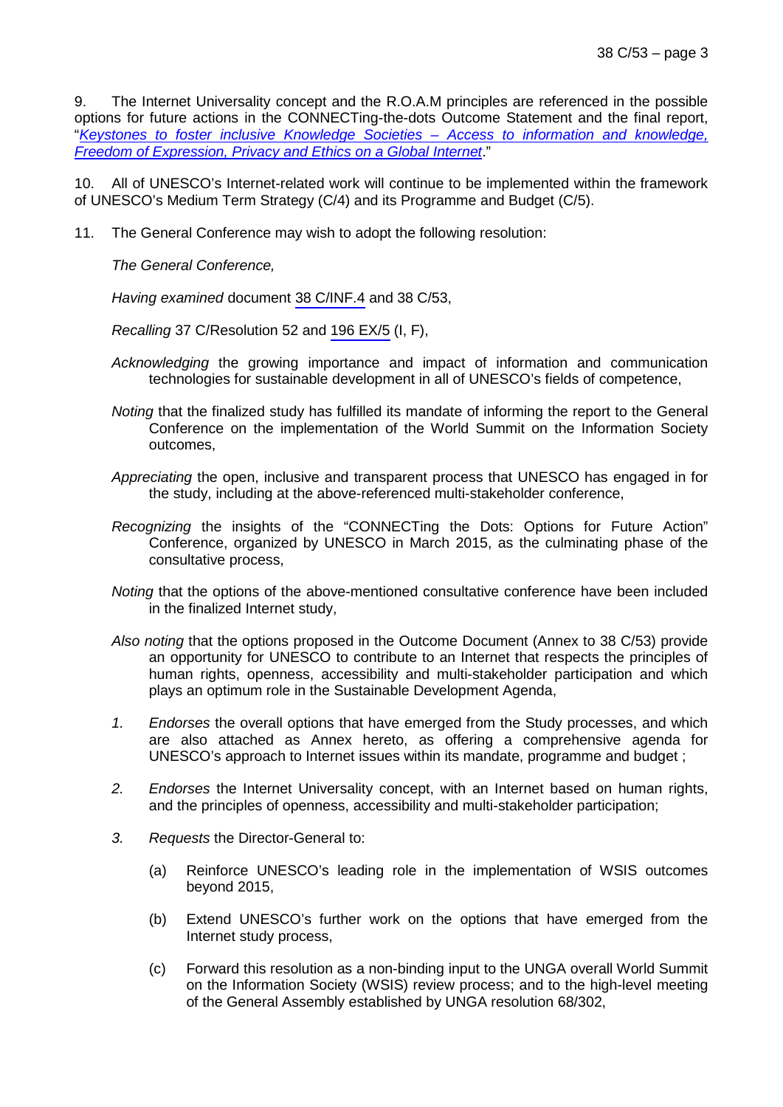9. The Internet Universality concept and the R.O.A.M principles are referenced in the possible options for future actions in the CONNECTing-the-dots Outcome Statement and the final report, "*[Keystones to foster inclusive Knowledge Societies –](http://unesdoc.unesco.org/images/0023/002325/232563E.pdf) Access to information and knowledge, [Freedom of Expression, Privacy and Ethics on a Global Internet](http://unesdoc.unesco.org/images/0023/002325/232563E.pdf)*."

10. All of UNESCO's Internet-related work will continue to be implemented within the framework of UNESCO's Medium Term Strategy (C/4) and its Programme and Budget (C/5).

11. The General Conference may wish to adopt the following resolution:

*The General Conference,*

*Having examined* document 38 C/INF.4 and 38 C/53,

*Recalling* 37 C/Resolution 52 and 196 EX/5 (I, F),

- *Acknowledging* the growing importance and impact of information and communication technologies for sustainable development in all of UNESCO's fields of competence,
- *Noting* that the finalized study has fulfilled its mandate of informing the report to the General Conference on the implementation of the World Summit on the Information Society outcomes,
- *Appreciating* the open, inclusive and transparent process that UNESCO has engaged in for the study, including at the above-referenced multi-stakeholder conference,
- *Recognizing* the insights of the "CONNECTing the Dots: Options for Future Action" Conference, organized by UNESCO in March 2015, as the culminating phase of the consultative process,
- *Noting* that the options of the above-mentioned consultative conference have been included in the finalized Internet study,
- *Also noting* that the options proposed in the Outcome Document (Annex to 38 C/53) provide an opportunity for UNESCO to contribute to an Internet that respects the principles of human rights, openness, accessibility and multi-stakeholder participation and which plays an optimum role in the Sustainable Development Agenda,
- *1. Endorses* the overall options that have emerged from the Study processes, and which are also attached as Annex hereto, as offering a comprehensive agenda for UNESCO's approach to Internet issues within its mandate, programme and budget ;
- *2. Endorses* the Internet Universality concept, with an Internet based on human rights, and the principles of openness, accessibility and multi-stakeholder participation;
- *3. Requests* the Director-General to:
	- (a) Reinforce UNESCO's leading role in the implementation of WSIS outcomes beyond 2015,
	- (b) Extend UNESCO's further work on the options that have emerged from the Internet study process,
	- (c) Forward this resolution as a non-binding input to the UNGA overall World Summit on the Information Society (WSIS) review process; and to the high-level meeting of the General Assembly established by UNGA resolution 68/302,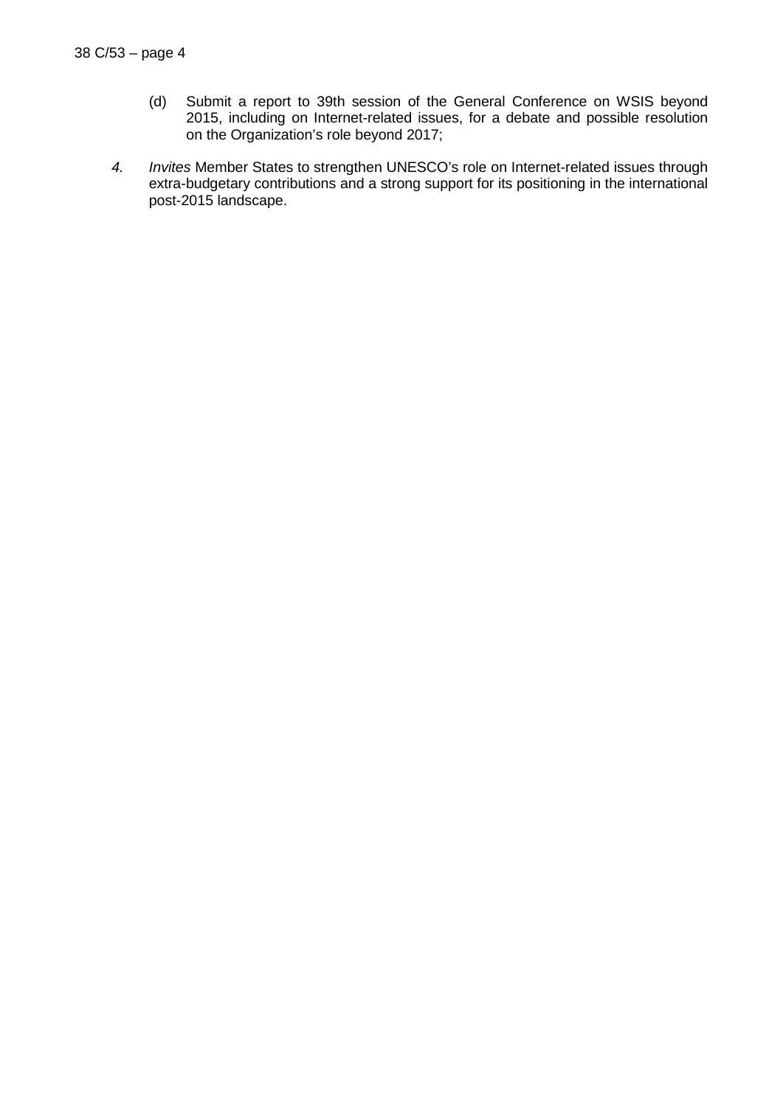- (d) Submit a report to 39th session of the General Conference on WSIS beyond 2015, including on Internet-related issues, for a debate and possible resolution on the Organization's role beyond 2017;
- *4. Invites* Member States to strengthen UNESCO's role on Internet-related issues through extra-budgetary contributions and a strong support for its positioning in the international post-2015 landscape.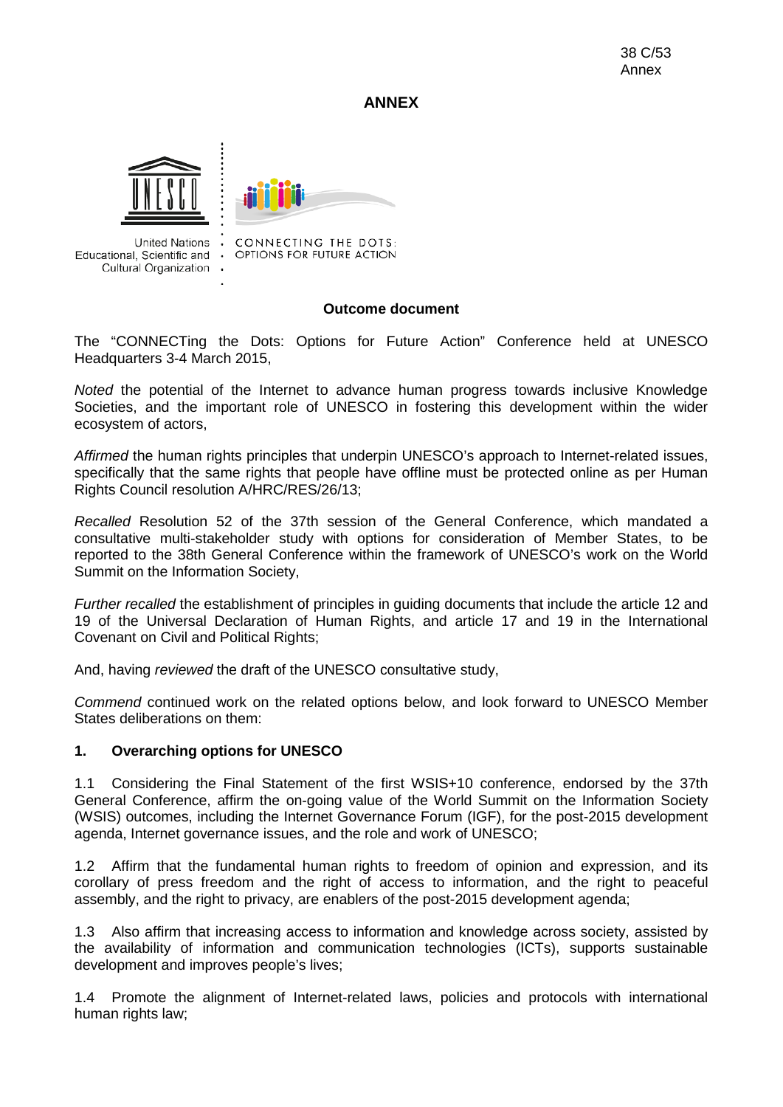## **ANNEX**





United Nations . Educational, Scientific and . Cultural Organization . CONNECTING THE DOTS: OPTIONS FOR FUTURE ACTION

### **Outcome document**

The "CONNECTing the Dots: Options for Future Action" Conference held at UNESCO Headquarters 3-4 March 2015,

*Noted* the potential of the Internet to advance human progress towards inclusive Knowledge Societies, and the important role of UNESCO in fostering this development within the wider ecosystem of actors,

*Affirmed* the human rights principles that underpin UNESCO's approach to Internet-related issues, specifically that the same rights that people have offline must be protected online as per Human Rights Council resolution A/HRC/RES/26/13;

*Recalled* Resolution 52 of the 37th session of the General Conference, which mandated a consultative multi-stakeholder study with options for consideration of Member States, to be reported to the 38th General Conference within the framework of UNESCO's work on the World Summit on the Information Society,

*Further recalled* the establishment of principles in guiding documents that include the article 12 and 19 of the Universal Declaration of Human Rights, and article 17 and 19 in the International Covenant on Civil and Political Rights;

And, having *reviewed* the draft of the UNESCO consultative study,

*Commend* continued work on the related options below, and look forward to UNESCO Member States deliberations on them:

### **1. Overarching options for UNESCO**

1.1 Considering the Final Statement of the first WSIS+10 conference, endorsed by the 37th General Conference, affirm the on-going value of the World Summit on the Information Society (WSIS) outcomes, including the Internet Governance Forum (IGF), for the post-2015 development agenda, Internet governance issues, and the role and work of UNESCO;

1.2 Affirm that the fundamental human rights to freedom of opinion and expression, and its corollary of press freedom and the right of access to information, and the right to peaceful assembly, and the right to privacy, are enablers of the post-2015 development agenda;

1.3 Also affirm that increasing access to information and knowledge across society, assisted by the availability of information and communication technologies (ICTs), supports sustainable development and improves people's lives;

1.4 Promote the alignment of Internet-related laws, policies and protocols with international human rights law;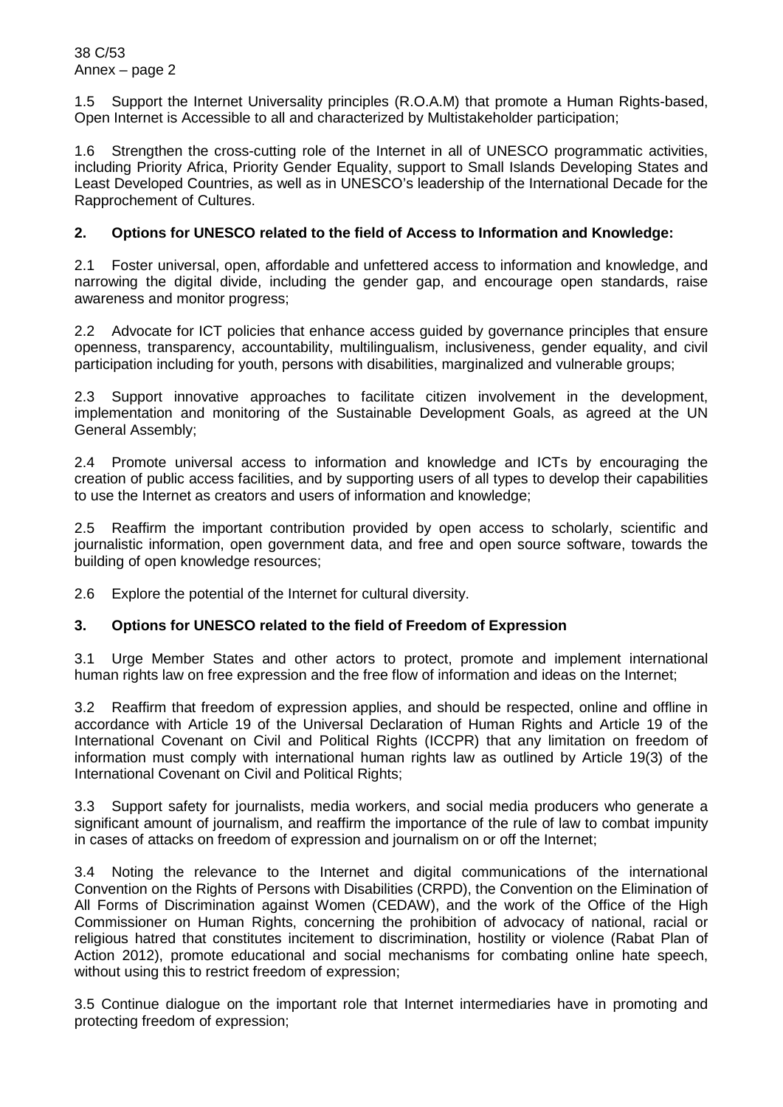1.5 Support the Internet Universality principles (R.O.A.M) that promote a Human Rights-based, Open Internet is Accessible to all and characterized by Multistakeholder participation;

1.6 Strengthen the cross-cutting role of the Internet in all of UNESCO programmatic activities, including Priority Africa, Priority Gender Equality, support to Small Islands Developing States and Least Developed Countries, as well as in UNESCO's leadership of the International Decade for the Rapprochement of Cultures.

## **2. Options for UNESCO related to the field of Access to Information and Knowledge:**

2.1 Foster universal, open, affordable and unfettered access to information and knowledge, and narrowing the digital divide, including the gender gap, and encourage open standards, raise awareness and monitor progress;

2.2 Advocate for ICT policies that enhance access guided by governance principles that ensure openness, transparency, accountability, multilingualism, inclusiveness, gender equality, and civil participation including for youth, persons with disabilities, marginalized and vulnerable groups;

2.3 Support innovative approaches to facilitate citizen involvement in the development, implementation and monitoring of the Sustainable Development Goals, as agreed at the UN General Assembly;

2.4 Promote universal access to information and knowledge and ICTs by encouraging the creation of public access facilities, and by supporting users of all types to develop their capabilities to use the Internet as creators and users of information and knowledge;

2.5 Reaffirm the important contribution provided by open access to scholarly, scientific and journalistic information, open government data, and free and open source software, towards the building of open knowledge resources;

2.6 Explore the potential of the Internet for cultural diversity.

# **3. Options for UNESCO related to the field of Freedom of Expression**

3.1 Urge Member States and other actors to protect, promote and implement international human rights law on free expression and the free flow of information and ideas on the Internet;

3.2 Reaffirm that freedom of expression applies, and should be respected, online and offline in accordance with Article 19 of the Universal Declaration of Human Rights and Article 19 of the International Covenant on Civil and Political Rights (ICCPR) that any limitation on freedom of information must comply with international human rights law as outlined by Article 19(3) of the International Covenant on Civil and Political Rights:

3.3 Support safety for journalists, media workers, and social media producers who generate a significant amount of journalism, and reaffirm the importance of the rule of law to combat impunity in cases of attacks on freedom of expression and journalism on or off the Internet;

3.4 Noting the relevance to the Internet and digital communications of the international Convention on the Rights of Persons with Disabilities (CRPD), the Convention on the Elimination of All Forms of Discrimination against Women (CEDAW), and the work of the Office of the High Commissioner on Human Rights, concerning the prohibition of advocacy of national, racial or religious hatred that constitutes incitement to discrimination, hostility or violence (Rabat Plan of Action 2012), promote educational and social mechanisms for combating online hate speech, without using this to restrict freedom of expression;

3.5 Continue dialogue on the important role that Internet intermediaries have in promoting and protecting freedom of expression;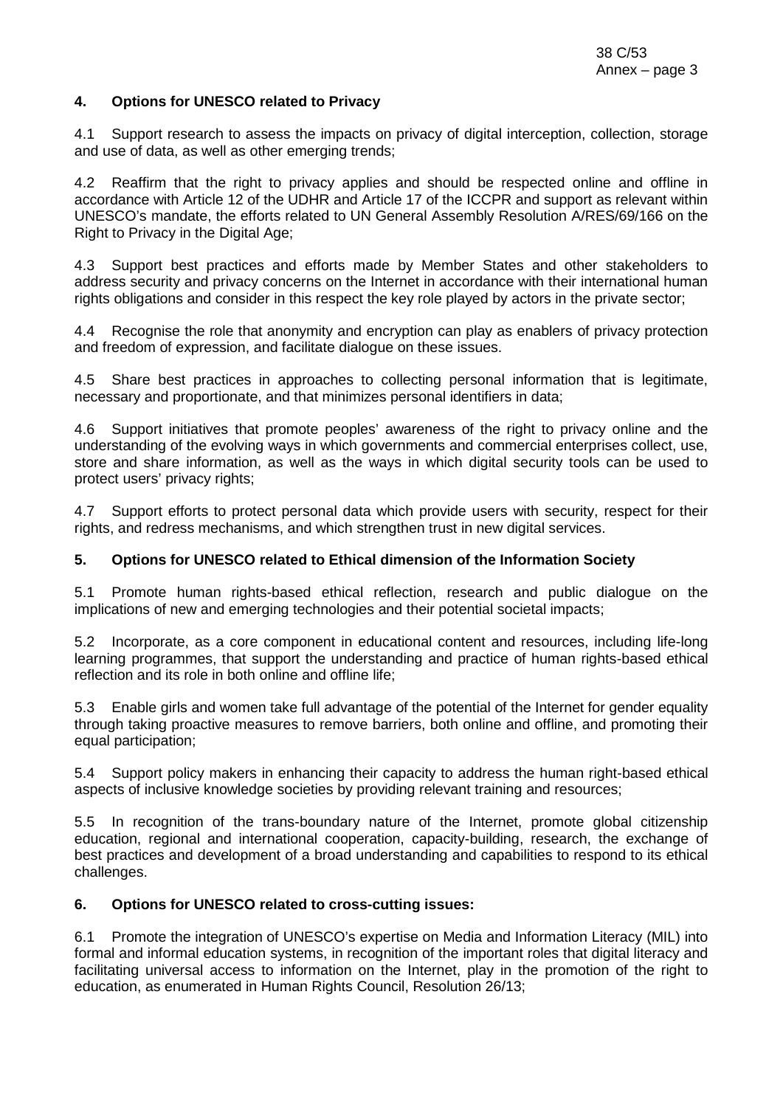### **4. Options for UNESCO related to Privacy**

4.1 Support research to assess the impacts on privacy of digital interception, collection, storage and use of data, as well as other emerging trends;

4.2 Reaffirm that the right to privacy applies and should be respected online and offline in accordance with Article 12 of the UDHR and Article 17 of the ICCPR and support as relevant within UNESCO's mandate, the efforts related to UN General Assembly Resolution A/RES/69/166 on the Right to Privacy in the Digital Age;

4.3 Support best practices and efforts made by Member States and other stakeholders to address security and privacy concerns on the Internet in accordance with their international human rights obligations and consider in this respect the key role played by actors in the private sector;

4.4 Recognise the role that anonymity and encryption can play as enablers of privacy protection and freedom of expression, and facilitate dialogue on these issues.

4.5 Share best practices in approaches to collecting personal information that is legitimate, necessary and proportionate, and that minimizes personal identifiers in data;

4.6 Support initiatives that promote peoples' awareness of the right to privacy online and the understanding of the evolving ways in which governments and commercial enterprises collect, use, store and share information, as well as the ways in which digital security tools can be used to protect users' privacy rights;

4.7 Support efforts to protect personal data which provide users with security, respect for their rights, and redress mechanisms, and which strengthen trust in new digital services.

### **5. Options for UNESCO related to Ethical dimension of the Information Society**

5.1 Promote human rights-based ethical reflection, research and public dialogue on the implications of new and emerging technologies and their potential societal impacts;

5.2 Incorporate, as a core component in educational content and resources, including life-long learning programmes, that support the understanding and practice of human rights-based ethical reflection and its role in both online and offline life;

5.3 Enable girls and women take full advantage of the potential of the Internet for gender equality through taking proactive measures to remove barriers, both online and offline, and promoting their equal participation;

5.4 Support policy makers in enhancing their capacity to address the human right-based ethical aspects of inclusive knowledge societies by providing relevant training and resources;

5.5 In recognition of the trans-boundary nature of the Internet, promote global citizenship education, regional and international cooperation, capacity-building, research, the exchange of best practices and development of a broad understanding and capabilities to respond to its ethical challenges.

#### **6. Options for UNESCO related to cross-cutting issues:**

6.1 Promote the integration of UNESCO's expertise on Media and Information Literacy (MIL) into formal and informal education systems, in recognition of the important roles that digital literacy and facilitating universal access to information on the Internet, play in the promotion of the right to education, as enumerated in Human Rights Council, Resolution 26/13;